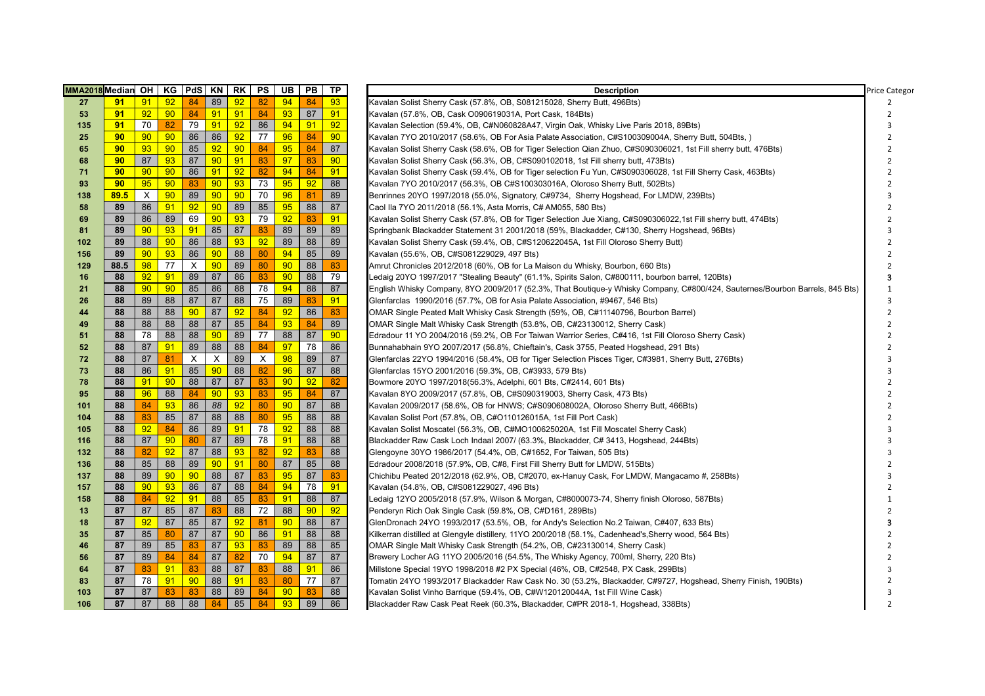| MMA2018 Median OH |                 |                 | KG   PdS   KN   RK |    |              |    | PS       | UB | <b>PB</b> | TP | <b>Description</b>                                                                                                           | <b>Price Categor</b>     |
|-------------------|-----------------|-----------------|--------------------|----|--------------|----|----------|----|-----------|----|------------------------------------------------------------------------------------------------------------------------------|--------------------------|
| 27                | 91              | 91              | 92                 | 84 | 89           | 92 | 82       | 94 | 84        | 93 | Kavalan Solist Sherry Cask (57.8%, OB, S081215028, Sherry Butt, 496Bts)                                                      | 2                        |
| 53                | 91              | 92              | 90 <sub>o</sub>    | 84 | 91           | 91 | 84       | 93 | 87        | 91 | Kavalan (57.8%, OB, Cask O090619031A, Port Cask, 184Bts)                                                                     | $\mathcal{P}$            |
| 135               | 91              | 70              | 82                 | 79 | 91           | 92 | 86       | 94 | 91        | 92 | Kavalan Selection (59.4%, OB, C#N060828A47, Virgin Oak, Whisky Live Paris 2018, 89Bts)                                       | з                        |
| 25                | 90 <sub>o</sub> | 90 <sub>o</sub> | 90 <sub>o</sub>    | 86 | 86           | 92 | 77       | 96 | 84        | 90 | Kavalan 7YO 2010/2017 (58.6%, OB For Asia Palate Association, C#S100309004A, Sherry Butt, 504Bts,)                           |                          |
| 65                | 90              | 93              | 90                 | 85 | 92           | 90 | 84       | 95 | 84        | 87 | Kavalan Solist Sherry Cask (58.6%, OB for Tiger Selection Qian Zhuo, C#S090306021, 1st Fill sherry butt, 476Bts)             |                          |
| 68                | 90              | 87              | 93                 | 87 | 90           | 91 | 83       | 97 | 83        | 90 | Kavalan Solist Sherry Cask (56.3%, OB, C#S090102018, 1st Fill sherry butt, 473Bts)                                           |                          |
| 71                | 90 <sub>o</sub> | 90 <sub>o</sub> | 90 <sub>o</sub>    | 86 | 91           | 92 | 82       | 94 | 84        | 91 | Kavalan Solist Sherry Cask (59.4%, OB for Tiger selection Fu Yun, C#S090306028, 1st Fill Sherry Cask, 463Bts)                |                          |
| 93                | 90 <sub>o</sub> | 95              | 90 <sub>o</sub>    | 83 | 90           | 93 | 73       | 95 | 92        | 88 | Kavalan 7YO 2010/2017 (56.3%, OB C#S100303016A, Oloroso Sherry Butt, 502Bts)                                                 |                          |
| 138               | 89.5            | X               | 90 <sub>o</sub>    | 89 | 90           | 90 | 70       | 96 | 81        | 89 | Benrinnes 20YO 1997/2018 (55.0%, Signatory, C#9734, Sherry Hogshead, For LMDW, 239Bts)                                       |                          |
| 58                | 89              | 86              | 91                 | 92 | 90           | 89 | 85       | 95 | 88        | 87 | Caol IIa 7YO 2011/2018 (56.1%, Asta Morris, C# AM055, 580 Bts)                                                               |                          |
| 69                | 89              | 86              | 89                 | 69 | 90           | 93 | 79       | 92 | 83        | 91 | Kavalan Solist Sherry Cask (57.8%, OB for Tiger Selection Jue Xiang, C#S090306022,1st Fill sherry butt, 474Bts)              |                          |
| 81                | 89              | 90              | 93                 | 91 | 85           | 87 | 83       | 89 | 89        | 89 | Springbank Blackadder Statement 31 2001/2018 (59%, Blackadder, C#130, Sherry Hogshead, 96Bts)                                |                          |
| 102               | 89              | 88              | 90 <sub>o</sub>    | 86 | 88           | 93 | 92       | 89 | 88        | 89 | Kavalan Solist Sherry Cask (59.4%, OB, C#S120622045A, 1st Fill Oloroso Sherry Butt)                                          |                          |
| 156               | 89              | 90              | 93                 | 86 | 90           | 88 | 80       | 94 | 85        | 89 | Kavalan (55.6%, OB, C#S081229029, 497 Bts)                                                                                   | $\mathcal{P}$            |
| 129               | 88.5            | 98              | 77                 | X  | 90           | 89 | 80       | 90 | 88        | 83 | Amrut Chronicles 2012/2018 (60%, OB for La Maison du Whisky, Bourbon, 660 Bts)                                               |                          |
| 16                | 88              | 92              | 91                 | 89 | 87           | 86 | 83       | 90 | 88        | 79 | Ledaig 20YO 1997/2017 "Stealing Beauty" (61.1%, Spirits Salon, C#800111, bourbon barrel, 120Bts)                             | 3                        |
| 21                | 88              | 90              | 90 <sub>o</sub>    | 85 | 86           | 88 | 78       | 94 | 88        | 87 | English Whisky Company, 8YO 2009/2017 (52.3%, That Boutique-y Whisky Company, C#800/424, Sauternes/Bourbon Barrels, 845 Bts) | $\mathbf{1}$             |
| 26                | 88              | 89              | 88                 | 87 | 87           | 88 | 75       | 89 | 83        | 91 | Glenfarclas 1990/2016 (57.7%, OB for Asia Palate Association, #9467, 546 Bts)                                                | 3                        |
| 44                | 88              | 88              | 88                 | 90 | 87           | 92 | 84       | 92 | 86        | 83 | OMAR Single Peated Malt Whisky Cask Strength (59%, OB, C#11140796, Bourbon Barrel)                                           |                          |
| 49                | 88              | 88              | 88                 | 88 | 87           | 85 | 84       | 93 | 84        | 89 | OMAR Single Malt Whisky Cask Strength (53.8%, OB, C#23130012, Sherry Cask)                                                   | $\mathcal{P}$            |
| 51                | 88              | 78              | 88                 | 88 | 90           | 89 | 77       | 88 | 87        | 90 | Edradour 11 YO 2004/2016 (59.2%, OB For Taiwan Warrior Series, C#416, 1st Fill Oloroso Sherry Cask)                          |                          |
| 52                | 88              | 87              | 91                 | 89 | 88           | 88 | 84       | 97 | 78        | 86 | Bunnahabhain 9YO 2007/2017 (56.8%, Chieftain's, Cask 3755, Peated Hogshead, 291 Bts)                                         |                          |
| 72                | 88              | 87              | 81                 | X  | $\mathsf{X}$ | 89 | $\times$ | 98 | 89        | 87 | Glenfarclas 22YO 1994/2016 (58.4%, OB for Tiger Selection Pisces Tiger, C#3981, Sherry Butt, 276Bts)                         |                          |
| 73                | 88              | 86              | 91                 | 85 | 90           | 88 | 82       | 96 | 87        | 88 | Glenfarclas 15YO 2001/2016 (59.3%, OB, C#3933, 579 Bts)                                                                      |                          |
| 78                | 88              | 91              | 90                 | 88 | 87           | 87 | 83       | 90 | 92        | 82 | Bowmore 20YO 1997/2018(56.3%, Adelphi, 601 Bts, C#2414, 601 Bts)                                                             |                          |
| 95                | 88              | 96              | 88                 | 84 | 90           | 93 | 83       | 95 | 84        | 87 | Kavalan 8YO 2009/2017 (57.8%, OB, C#S090319003, Sherry Cask, 473 Bts)                                                        |                          |
| 101               | 88              | 84              | 93                 | 86 | 88           | 92 | 80       | 90 | 87        | 88 | Kavalan 2009/2017 (58.6%, OB for HNWS; C#S090608002A, Oloroso Sherry Butt, 466Bts)                                           |                          |
| 104               | 88              | 83              | 85                 | 87 | 88           | 88 | 80       | 95 | 88        | 88 | Kavalan Solist Port (57.8%, OB, C#O110126015A, 1st Fill Port Cask)                                                           |                          |
| 105               | 88              | 92              | 84                 | 86 | 89           | 91 | 78       | 92 | 88        | 88 | Kavalan Solist Moscatel (56.3%, OB, C#MO100625020A, 1st Fill Moscatel Sherry Cask)                                           |                          |
| 116               | 88              | 87              | 90 <sub>o</sub>    | 80 | 87           | 89 | 78       | 91 | 88        | 88 | Blackadder Raw Cask Loch Indaal 2007/ (63.3%, Blackadder, C# 3413, Hogshead, 244Bts)                                         |                          |
| 132               | 88              | 82              | 92                 | 87 | 88           | 93 | 82       | 92 | 83        | 88 | Glengoyne 30YO 1986/2017 (54.4%, OB, C#1652, For Taiwan, 505 Bts)                                                            |                          |
| 136               | 88              | 85              | 88                 | 89 | 90           | 91 | 80       | 87 | 85        | 88 | Edradour 2008/2018 (57.9%, OB, C#8, First Fill Sherry Butt for LMDW, 515Bts)                                                 |                          |
| 137               | 88              | 89              | 90                 | 90 | 88           | 87 | 83       | 95 | 87        | 83 | Chichibu Peated 2012/2018 (62.9%, OB, C#2070, ex-Hanuy Cask, For LMDW, Mangacamo #, 258Bts)                                  |                          |
| 157               | 88              | 90 <sub>o</sub> | 93                 | 86 | 87           | 88 | 84       | 94 | 78        | 91 | Kavalan (54.8%, OB, C#S081229027, 496 Bts)                                                                                   |                          |
| 158               | 88              | 84              | 92                 | 91 | 88           | 85 | 83       | 91 | 88        | 87 | Ledaig 12YO 2005/2018 (57.9%, Wilson & Morgan, C#8000073-74, Sherry finish Oloroso, 587Bts)                                  |                          |
| 13                | 87              | 87              | 85                 | 87 | 83           | 88 | 72       | 88 | 90        | 92 | Penderyn Rich Oak Single Cask (59.8%, OB, C#D161, 289Bts)                                                                    |                          |
| 18                | 87              | 92              | 87                 | 85 | 87           | 92 | 81       | 90 | 88        | 87 | GlenDronach 24YO 1993/2017 (53.5%, OB, for Andy's Selection No.2 Taiwan, C#407, 633 Bts)                                     |                          |
| 35                | 87              | 85              | 80                 | 87 | 87           | 90 | 86       | 91 | 88        | 88 | Kilkerran distilled at Glengyle distillery, 11YO 200/2018 (58.1%, Cadenhead's, Sherry wood, 564 Bts)                         |                          |
| 46                | 87              | 89              | 85                 | 83 | 87           | 93 | 83       | 89 | 88        | 85 | OMAR Single Malt Whisky Cask Strength (54.2%, OB, C#23130014, Sherry Cask)                                                   |                          |
| 56                | 87              | 89              | 84                 | 84 | 87           | 82 | 70       | 94 | 87        | 87 | Brewery Locher AG 11YO 2005/2016 (54.5%, The Whisky Agency, 700ml, Sherry, 220 Bts)                                          |                          |
| 64                | 87              | 83              | 91                 | 83 | 88           | 87 | 83       | 88 | 91        | 86 | Millstone Special 19YO 1998/2018 #2 PX Special (46%, OB, C#2548, PX Cask, 299Bts)                                            |                          |
| 83                | 87              | 78              | 91                 | 90 | 88           | 91 | 83       | 80 | 77        | 87 | Tomatin 24YO 1993/2017 Blackadder Raw Cask No. 30 (53.2%, Blackadder, C#9727, Hogshead, Sherry Finish, 190Bts)               |                          |
| 103               | 87              | 87              | 83                 | 83 | 88           | 89 | 84       | 90 | 83        | 88 | Kavalan Solist Vinho Barrique (59.4%, OB, C#W120120044A, 1st Fill Wine Cask)                                                 |                          |
| 106               | 87              | 87              | 88                 | 88 | 84           | 85 | 84       | 93 | 89        | 86 | Blackadder Raw Cask Peat Reek (60.3%, Blackadder, C#PR 2018-1, Hogshead, 338Bts)                                             | $\overline{\phantom{a}}$ |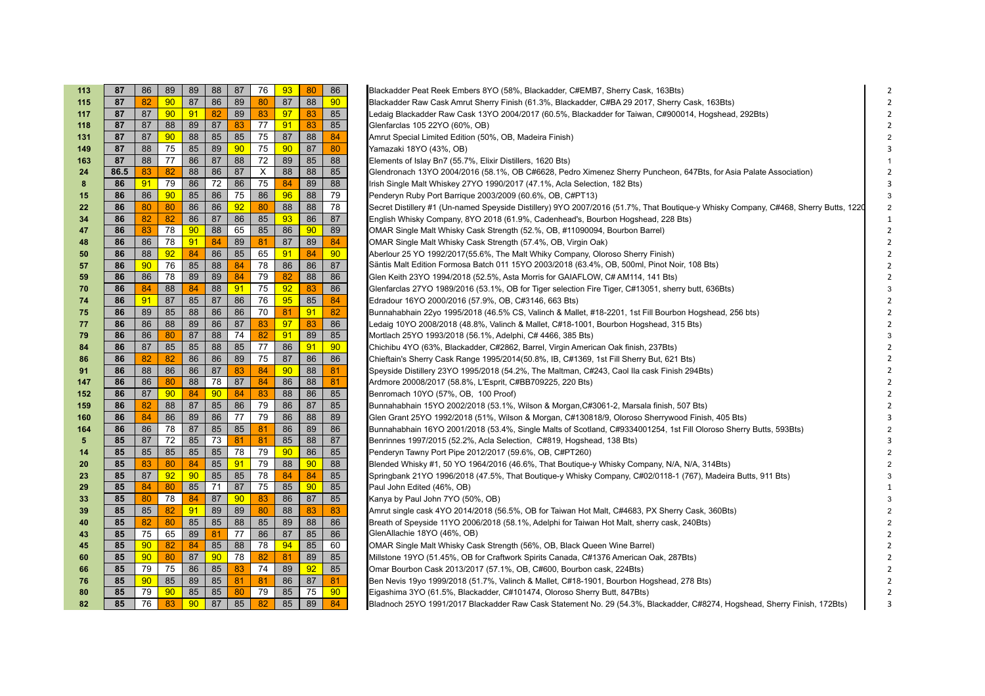| 113 | 87   | 86              | 89              | 89              | 88              | 87 | 76 | 93 | 80 | 86              | Blackadder Peat Reek Embers 8YO (58%, Blackadder, C#EMB7, Sherry Cask, 163Bts)                                                      |
|-----|------|-----------------|-----------------|-----------------|-----------------|----|----|----|----|-----------------|-------------------------------------------------------------------------------------------------------------------------------------|
| 115 | 87   | 82              | 90 <sub>o</sub> | 87              | 86              | 89 | 80 | 87 | 88 | 90 <sub>o</sub> | Blackadder Raw Cask Amrut Sherry Finish (61.3%, Blackadder, C#BA 29 2017, Sherry Cask, 163Bts)                                      |
| 117 | 87   | 87              | 90 <sub>o</sub> | 91              | 82              | 89 | 83 | 97 | 83 | 85              | Ledaig Blackadder Raw Cask 13YO 2004/2017 (60.5%, Blackadder for Taiwan, C#900014, Hogshead, 292Bts)                                |
| 118 | 87   | 87              | 88              | 89              | 87              | 83 | 77 | 91 | 83 | 85              | Glenfarclas 105 22YO (60%, OB)                                                                                                      |
| 131 | 87   | 87              | 90 <sub>o</sub> | 88              | 85              | 85 | 75 | 87 | 88 | 84              | Amrut Special Limited Edition (50%, OB, Madeira Finish)                                                                             |
| 149 | 87   | 88              | 75              | 85              | 89              | 90 | 75 | 90 | 87 | 80              | Yamazaki 18YO (43%, OB)                                                                                                             |
| 163 | 87   | 88              | 77              | 86              | 87              | 88 | 72 | 89 | 85 | 88              | Elements of Islay Bn7 (55.7%, Elixir Distillers, 1620 Bts)                                                                          |
| 24  | 86.5 | 83              | 82              | 88              | 86              | 87 | X  | 88 | 88 | 85              | Glendronach 13YO 2004/2016 (58.1%, OB C#6628, Pedro Ximenez Sherry Puncheon, 647Bts, for Asia Palate Association)                   |
| 8   | 86   | 91              | 79              | 86              | 72              | 86 | 75 | 84 | 89 | 88              | Irish Single Malt Whiskey 27YO 1990/2017 (47.1%, Acla Selection, 182 Bts)                                                           |
| 15  | 86   | 86              | 90 <sub>o</sub> | 85              | 86              | 75 | 86 | 96 | 88 | 79              | Penderyn Ruby Port Barrique 2003/2009 (60.6%, OB, C#PT13)                                                                           |
| 22  | 86   | 80              | 80              | 86              | 86              | 92 | 80 | 88 | 88 | 78              | Secret Distillery #1 (Un-named Speyside Distillery) 9YO 2007/2016 (51.7%, That Boutique-y Whisky Company, C#468, Sherry Butts, 1220 |
| 34  | 86   | 82              | 82              | 86              | 87              | 86 | 85 | 93 | 86 | 87              | English Whisky Company, 8YO 2018 (61.9%, Cadenhead's, Bourbon Hogshead, 228 Bts)                                                    |
| 47  | 86   | 83              | 78              | 90              | 88              | 65 | 85 | 86 | 90 | 89              | OMAR Single Malt Whisky Cask Strength (52.%, OB, #11090094, Bourbon Barrel)                                                         |
| 48  | 86   | 86              | 78              | 91              | 84              | 89 | 81 | 87 | 89 | 84              | OMAR Single Malt Whisky Cask Strength (57.4%, OB, Virgin Oak)                                                                       |
| 50  | 86   | 88              | 92              | 84              | 86              | 85 | 65 | 91 | 84 | 90 <sub>o</sub> | Aberlour 25 YO 1992/2017(55.6%, The Malt Whiky Company, Oloroso Sherry Finish)                                                      |
| 57  | 86   | 90              | 76              | 85              | 88              | 84 | 78 | 86 | 86 | 87              | Säntis Malt Edition Formosa Batch 011 15YO 2003/2018 (63.4%, OB, 500ml, Pinot Noir, 108 Bts)                                        |
| 59  | 86   | 86              | 78              | 89              | 89              | 84 | 79 | 82 | 88 | 86              | Glen Keith 23YO 1994/2018 (52.5%, Asta Morris for GAIAFLOW, C# AM114, 141 Bts)                                                      |
| 70  | 86   | 84              | 88              | 84              | 88              | 91 | 75 | 92 | 83 | 86              | Glenfarclas 27YO 1989/2016 (53.1%, OB for Tiger selection Fire Tiger, C#13051, sherry butt, 636Bts)                                 |
| 74  | 86   | 91              | 87              | 85              | 87              | 86 | 76 | 95 | 85 | 84              | Edradour 16YO 2000/2016 (57.9%, OB, C#3146, 663 Bts)                                                                                |
| 75  | 86   | 89              | 85              | 88              | 86              | 86 | 70 | 81 | 91 | 82              | Bunnahabhain 22yo 1995/2018 (46.5% CS, Valinch & Mallet, #18-2201, 1st Fill Bourbon Hogshead, 256 bts)                              |
| 77  | 86   | 86              | 88              | 89              | 86              | 87 | 83 | 97 | 83 | 86              | Ledaig 10YO 2008/2018 (48.8%, Valinch & Mallet, C#18-1001, Bourbon Hogshead, 315 Bts)                                               |
| 79  | 86   | 86              | 80              | 87              | 88              | 74 | 82 | 91 | 89 | 85              | Mortlach 25YO 1993/2018 (56.1%, Adelphi, C# 4466, 385 Bts)                                                                          |
| 84  | 86   | 87              | 85              | 85              | 88              | 85 | 77 | 86 | 91 | 90              | Chichibu 4YO (63%, Blackadder, C#2862, Barrel, Virgin American Oak finish, 237Bts)                                                  |
| 86  | 86   | 82              | 82              | 86              | 86              | 89 | 75 | 87 | 86 | 86              | Chieftain's Sherry Cask Range 1995/2014(50.8%, IB, C#1369, 1st Fill Sherry But, 621 Bts)                                            |
| 91  | 86   | 88              | 86              | 86              | 87              | 83 | 84 | 90 | 88 | 81              | Speyside Distillery 23YO 1995/2018 (54.2%, The Maltman, C#243, Caol Ila cask Finish 294Bts)                                         |
| 147 | 86   | 86              | 80              | 88              | 78              | 87 | 84 | 86 | 88 | 81              | Ardmore 20008/2017 (58.8%, L'Esprit, C#BB709225, 220 Bts)                                                                           |
| 152 | 86   | 87              | 90 <sub>o</sub> | 84              | 90              | 84 | 83 | 88 | 86 | 85              | Benromach 10YO (57%, OB, 100 Proof)                                                                                                 |
| 159 | 86   | 82              | 88              | 87              | 85              | 86 | 79 | 86 | 87 | 85              | Bunnahabhain 15YO 2002/2018 (53.1%, Wilson & Morgan, C#3061-2, Marsala finish, 507 Bts)                                             |
| 160 | 86   | 84              | 86              | 89              | 86              | 77 | 79 | 86 | 88 | 89              | Glen Grant 25YO 1992/2018 (51%, Wilson & Morgan, C#130818/9, Oloroso Sherrywood Finish, 405 Bts)                                    |
| 164 | 86   | 86              | 78              | 87              | 85              | 85 | 81 | 86 | 89 | 86              | Bunnahabhain 16YO 2001/2018 (53.4%, Single Malts of Scotland, C#9334001254, 1st Fill Oloroso Sherry Butts, 593Bts)                  |
| 5   | 85   | 87              | 72              | 85              | 73              | 81 | 81 | 85 | 88 | 87              | Benrinnes 1997/2015 (52.2%, Acla Selection, C#819, Hogshead, 138 Bts)                                                               |
| 14  | 85   | 85              | 85              | 85              | 85              | 78 | 79 | 90 | 86 | 85              | Penderyn Tawny Port Pipe 2012/2017 (59.6%, OB, C#PT260)                                                                             |
| 20  | 85   | 83              | 80              | 84              | 85              | 91 | 79 | 88 | 90 | 88              | Blended Whisky #1, 50 YO 1964/2016 (46.6%, That Boutique-y Whisky Company, N/A, N/A, 314Bts)                                        |
| 23  | 85   | 87              | 92              | 90              | 85              | 85 | 78 | 84 | 84 | 85              | Springbank 21YO 1996/2018 (47.5%, That Boutique-y Whisky Company, C#02/0118-1 (767), Madeira Butts, 911 Bts)                        |
| 29  | 85   | 84              | 80              | 85              | 71              | 87 | 75 | 85 | 90 | 85              | Paul John Edited (46%, OB)                                                                                                          |
| 33  | 85   | 80              | 78              | 84              | 87              | 90 | 83 | 86 | 87 | 85              | Kanya by Paul John 7YO (50%, OB)                                                                                                    |
| 39  | 85   | 85              | 82              | 91              | 89              | 89 | 80 | 88 | 83 | 83              | Amrut single cask 4YO 2014/2018 (56.5%, OB for Taiwan Hot Malt, C#4683, PX Sherry Cask, 360Bts)                                     |
| 40  | 85   | 82              | 80              | 85              | 85              | 88 | 85 | 89 | 88 | 86              | Breath of Speyside 11YO 2006/2018 (58.1%, Adelphi for Taiwan Hot Malt, sherry cask, 240Bts)                                         |
| 43  | 85   | 75              | 65              | 89              | 81              | 77 | 86 | 87 | 85 | 86              | GlenAllachie 18YO (46%, OB)                                                                                                         |
| 45  | 85   | $90-1$          | 82              | 84              | 85              | 88 | 78 | 94 | 85 | 60              | OMAR Single Malt Whisky Cask Strength (56%, OB, Black Queen Wine Barrel)                                                            |
| 60  | 85   | $90-1$          | 80              | 87              | 90 <sub>o</sub> | 78 | 82 | 81 | 89 | 85              | Millstone 19YO (51.45%, OB for Craftwork Spirits Canada, C#1376 American Oak, 287Bts)                                               |
| 66  | 85   | 79              | 75              | 86              | 85              | 83 | 74 | 89 | 92 | 85              | Omar Bourbon Cask 2013/2017 (57.1%, OB, C#600, Bourbon cask, 224Bts)                                                                |
| 76  | 85   | 90 <sub>o</sub> | 85              | 89              | 85              | 81 | 81 | 86 | 87 | 81              | Ben Nevis 19yo 1999/2018 (51.7%, Valinch & Mallet, C#18-1901, Bourbon Hogshead, 278 Bts)                                            |
| 80  | 85   | 79              | 90 <sub>o</sub> | 85              | 85              | 80 | 79 | 85 | 75 | 90 <sub>o</sub> | Eigashima 3YO (61.5%, Blackadder, C#101474, Oloroso Sherry Butt, 847Bts)                                                            |
| 82  | 85   | 76              | 83              | 90 <sup>°</sup> | 87              | 85 | 82 | 85 | 89 | 84              | Bladnoch 25YO 1991/2017 Blackadder Raw Cask Statement No. 29 (54.3%, Blackadder, C#8274, Hogshead, Sherry Finish, 172Bts)<br>з      |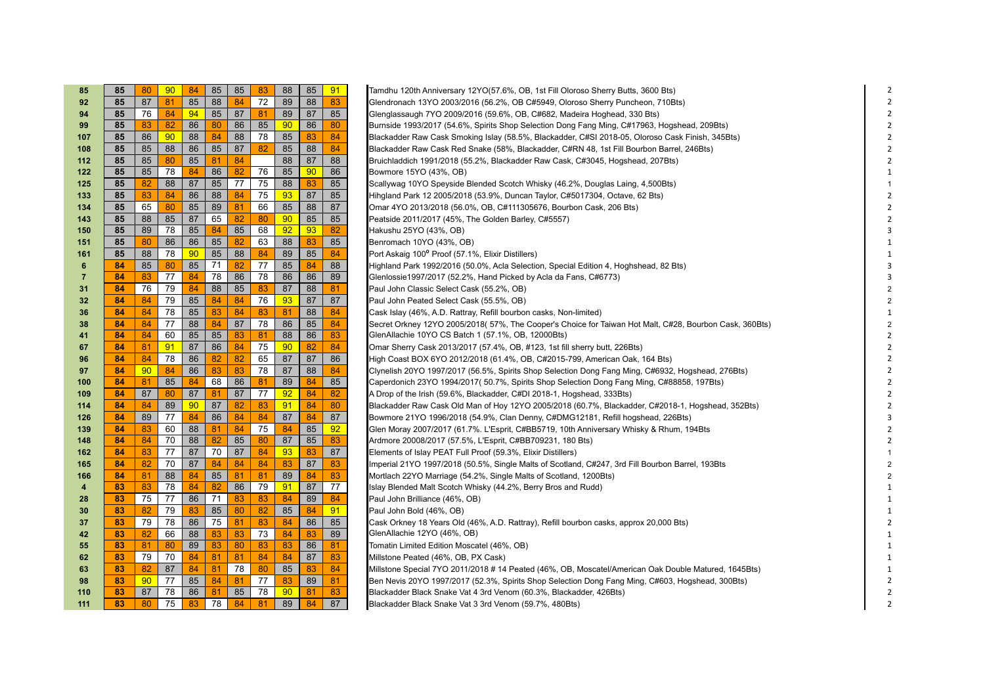| 85  | 85  | 80              | 90 | 84 | 85 | 85 | 83 | 88              | 85 | 91 | Tamdhu 120th Anniversary 12YO(57.6%, OB, 1st Fill Oloroso Sherry Butts, 3600 Bts)                       |
|-----|-----|-----------------|----|----|----|----|----|-----------------|----|----|---------------------------------------------------------------------------------------------------------|
| 92  | 85  | 87              | 81 | 85 | 88 | 84 | 72 | 89              | 88 | 83 | Glendronach 13YO 2003/2016 (56.2%, OB C#5949, Oloroso Sherry Puncheon, 710Bts)                          |
| 94  | 85  | 76              | 84 | 94 | 85 | 87 | 81 | 89              | 87 | 85 | Glenglassaugh 7YO 2009/2016 (59.6%, OB, C#682, Madeira Hoghead, 330 Bts)                                |
| 99  | 85  | 83              | 82 | 86 | 80 | 86 | 85 | 90 <sub>o</sub> | 86 | 80 | Burnside 1993/2017 (54.6%, Spirits Shop Selection Dong Fang Ming, C#17963, Hogshead, 209Bts)            |
| 107 | 85  | 86              | 90 | 88 | 84 | 88 | 78 | 85              | 83 | 84 | Blackadder Raw Cask Smoking Islay (58.5%, Blackadder, C#SI 2018-05, Oloroso Cask Finish, 345Bts)        |
| 108 | 85  | 85              | 88 | 86 | 85 | 87 | 82 | 85              | 88 | 84 | Blackadder Raw Cask Red Snake (58%, Blackadder, C#RN 48, 1st Fill Bourbon Barrel, 246Bts)               |
| 112 | 85  | 85              | 80 | 85 | 81 | 84 |    | 88              | 87 | 88 | Bruichladdich 1991/2018 (55.2%, Blackadder Raw Cask, C#3045, Hogshead, 207Bts)                          |
| 122 | 85  | 85              | 78 | 84 | 86 | 82 | 76 | 85              | 90 | 86 | Bowmore 15YO (43%, OB)                                                                                  |
| 125 | 85  | 82              | 88 | 87 | 85 | 77 | 75 | 88              | 83 | 85 | Scallywag 10YO Speyside Blended Scotch Whisky (46.2%, Douglas Laing, 4,500Bts)                          |
| 133 | 85  | 83              | 84 | 86 | 88 | 84 | 75 | 93              | 87 | 85 | Hihgland Park 12 2005/2018 (53.9%, Duncan Taylor, C#5017304, Octave, 62 Bts)                            |
| 134 | 85  | 65              | 80 | 85 | 89 | 81 | 66 | 85              | 88 | 87 | Omar 4YO 2013/2018 (56.0%, OB, C#111305676, Bourbon Cask, 206 Bts)                                      |
| 143 | 85  | 88              | 85 | 87 | 65 | 82 | 80 | 90              | 85 | 85 | Peatside 2011/2017 (45%, The Golden Barley, C#5557)                                                     |
| 150 | 85  | 89              | 78 | 85 | 84 | 85 | 68 | 92              | 93 | 82 | Hakushu 25YO (43%, OB)                                                                                  |
| 151 | 85  | 80              | 86 | 86 | 85 | 82 | 63 | 88              | 83 | 85 | Benromach 10YO (43%, OB)                                                                                |
| 161 | 85  | 88              | 78 | 90 | 85 | 88 | 84 | 89              | 85 | 84 | Port Askaig 100° Proof (57.1%, Elixir Distillers)                                                       |
| 6   | 84  | 85              | 80 | 85 | 71 | 82 | 77 | 85              | 84 | 88 | Highland Park 1992/2016 (50.0%, Acla Selection, Special Edition 4, Hoghshead, 82 Bts)                   |
| 7   | 84  | 83              | 77 | 84 | 78 | 86 | 78 | 86              | 86 | 89 | Glenlossie1997/2017 (52.2%, Hand Picked by Acla da Fans, C#6773)                                        |
| 31  | 84  | 76              | 79 | 84 | 88 | 85 | 83 | 87              | 88 | 81 | Paul John Classic Select Cask (55.2%, OB)                                                               |
| 32  | 84  | 84              | 79 | 85 | 84 | 84 | 76 | 93              | 87 | 87 | Paul John Peated Select Cask (55.5%, OB)                                                                |
| 36  | 84  | 84              | 78 | 85 | 83 | 84 | 83 | 81              | 88 | 84 | Cask Islay (46%, A.D. Rattray, Refill bourbon casks, Non-limited)                                       |
| 38  | 84  | 84              | 77 | 88 | 84 | 87 | 78 | 86              | 85 | 84 | Secret Orkney 12YO 2005/2018( 57%, The Cooper's Choice for Taiwan Hot Malt, C#28, Bourbon Cask, 360Bts) |
| 41  | 84  | 84              | 60 | 85 | 85 | 83 | 81 | 88              | 86 | 83 | GlenAllachie 10YO CS Batch 1 (57.1%, OB, 12000Bts)                                                      |
| 67  | 84  | 81              | 91 | 87 | 86 | 84 | 75 | 90              | 82 | 84 | Omar Sherry Cask 2013/2017 (57.4%, OB, #123, 1st fill sherry butt, 226Bts)                              |
| 96  | -84 | 84              | 78 | 86 | 82 | 82 | 65 | 87              | 87 | 86 | High Coast BOX 6YO 2012/2018 (61.4%, OB, C#2015-799, American Oak, 164 Bts)                             |
| 97  | 84  | 90 <sub>o</sub> | 84 | 86 | 83 | 83 | 78 | 87              | 88 | 84 | Clynelish 20YO 1997/2017 (56.5%, Spirits Shop Selection Dong Fang Ming, C#6932, Hogshead, 276Bts)       |
| 100 | 84  | 81              | 85 | 84 | 68 | 86 | 81 | 89              | 84 | 85 | Caperdonich 23YO 1994/2017(50.7%, Spirits Shop Selection Dong Fang Ming, C#88858, 197Bts)               |
| 109 | -84 | 87              | 80 | 87 | 81 | 87 | 77 | 92              | 84 | 82 | A Drop of the Irish (59.6%, Blackadder, C#DI 2018-1, Hogshead, 333Bts)                                  |
| 114 | 84  | 84              | 89 | 90 | 87 | 82 | 83 | 91              | 84 | 80 | Blackadder Raw Cask Old Man of Hoy 12YO 2005/2018 (60.7%, Blackadder, C#2018-1, Hogshead, 352Bts)       |
| 126 | 84  | 89              | 77 | 84 | 86 | 84 | 84 | 87              | 84 | 87 | Bowmore 21YO 1996/2018 (54.9%, Clan Denny, C#DMG12181, Refill hogshead, 226Bts)                         |
| 139 | 84  | 83              | 60 | 88 | 81 | 84 | 75 | 84              | 85 | 92 | Glen Moray 2007/2017 (61.7%. L'Esprit, C#BB5719, 10th Anniversary Whisky & Rhum, 194Bts                 |
| 148 | 84  | 84              | 70 | 88 | 82 | 85 | 80 | 87              | 85 | 83 | Ardmore 20008/2017 (57.5%, L'Esprit, C#BB709231, 180 Bts)                                               |
| 162 | 84  | 83              | 77 | 87 | 70 | 87 | 84 | 93              | 83 | 87 | Elements of Islay PEAT Full Proof (59.3%, Elixir Distillers)                                            |
| 165 | 84  | 82              | 70 | 87 | 84 | 84 | 84 | 83              | 87 | 83 | Imperial 21YO 1997/2018 (50.5%, Single Malts of Scotland, C#247, 3rd Fill Bourbon Barrel, 193Bts        |
| 166 | 84  | 81              | 88 | 84 | 85 | 81 | 81 | 89              | 84 | 83 | Mortlach 22YO Marriage (54.2%, Single Malts of Scotland, 1200Bts)                                       |
| 4   | 83  | 83              | 78 | 84 | 82 | 86 | 79 | 91              | 87 | 77 | Islay Blended Malt Scotch Whisky (44.2%, Berry Bros and Rudd)                                           |
| 28  | 83  | 75              | 77 | 86 | 71 | 83 | 83 | 84              | 89 | 84 | Paul John Brilliance (46%, OB)                                                                          |
| 30  | -83 | 82              | 79 | 83 | 85 | 80 | 82 | 85              | 84 | 91 | Paul John Bold (46%, OB)                                                                                |
| 37  | -83 | 79              | 78 | 86 | 75 | 81 | 83 | 84              | 86 | 85 | Cask Orkney 18 Years Old (46%, A.D. Rattray), Refill bourbon casks, approx 20,000 Bts)                  |
| 42  | 83  | 82              | 66 | 88 | 83 | 83 | 73 | 84              | 83 | 89 | GlenAllachie 12YO (46%, OB)                                                                             |
| 55  | 83  | 81              | 80 | 89 | 83 | 80 | 83 | 83              | 86 | 81 | Tomatin Limited Edition Moscatel (46%, OB)                                                              |
| 62  | -83 | 79              | 70 | 84 | 81 | 81 | 84 | 84              | 87 | 83 | Millstone Peated (46%, OB, PX Cask)                                                                     |
| 63  | 83  | 82              | 87 | 84 | 81 | 78 | 80 | 85              | 83 | 84 | Millstone Special 7YO 2011/2018 # 14 Peated (46%, OB, Moscatel/American Oak Double Matured, 1645Bts)    |
| 98  | 83  | 90 <sub>o</sub> | 77 | 85 | 84 | 81 | 77 | 83              | 89 | 81 | Ben Nevis 20YO 1997/2017 (52.3%, Spirits Shop Selection Dong Fang Ming, C#603, Hogshead, 300Bts)        |
| 110 | 83  | 87              | 78 | 86 | 81 | 85 | 78 | 90 <sub>o</sub> | 81 | 83 | Blackadder Black Snake Vat 4 3rd Venom (60.3%, Blackadder, 426Bts)                                      |
| 111 | 83  | 80              | 75 | 83 | 78 | 84 | 81 | 89              | 84 | 87 | Blackadder Black Snake Vat 3 3rd Venom (59.7%, 480Bts)                                                  |